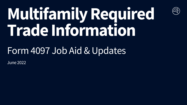## **Multifamily Required Trade Information**

 $\begin{pmatrix} 1 \\ 1 \\ 0 \end{pmatrix}$ 

### Form 4097 Job Aid & Updates

June 2022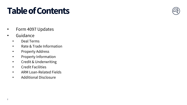### **Table of Contents**



- Form 4097 Updates
- Guidance
	- Deal Terms
	- Rate & Trade Information
	- Property Address
	- Property Information
	- Credit & Underwriting
	- Credit Facilities
	- ARM Loan-Related Fields
	- Additional Disclosure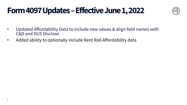### **Form 4097 Updates –Effective June 1, 2022**



- Updated Affordability Data to include new values & align field names with C&D and DUS Disclose
- Added ability to optionally include Rent Roll Affordability data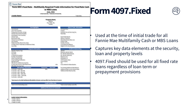**Form 4097.Fixed Rate – Multifamily Required Trade Information for Fixed Rate Cash** 

**or MBS Loans June, 2022 © 2022 Fannie Mae. Trademarks of Fannie Mae**

**<Lender Name>** Trade Date:

 $\oslash$  Fannie Mae

% of Units > 60% - 80% AMI % of Units > 80% - 100% AMI % of Units > 100% - 120% AMI % of Units > 120% AMI

4

#### **Property Name** Address

City, State, Zip County

#### Loan Amount Purchase Price **Deal Highlights**

| Loan Term (months)                             | Coupon      |
|------------------------------------------------|-------------|
| Prepayment Provision (string)                  | Guaranty    |
| Interest-Only Period (months)                  | Note Rate   |
| Amortization Term (months)                     |             |
| Interest Type                                  | Good Fait   |
| Benchmark Index                                | Delivery T  |
| <b>Interest Accrual Method</b>                 | Streamlin   |
| Lien Position                                  | Product T   |
| Settlement Date (Book-Entry Date)              | Number o    |
| # of Days (from Trade Date to Settlement Date) | % of Initia |
| <b>Issue Date</b>                              | Eligible fo |

| # of Days (from Trade Date to Settlement Date) |                   |            | % of Initial Pool Balance            |
|------------------------------------------------|-------------------|------------|--------------------------------------|
| <b>Issue Date</b>                              |                   |            | Eligible for Re-Securitization       |
| <b>Property Information</b>                    |                   |            | <b>Credit &amp; Underwri</b>         |
| <b>Specific Property Type</b>                  |                   |            | <b>UW NCF</b>                        |
| # of Units                                     |                   |            | Minimum UW NCF DSCR                  |
| Year Built                                     |                   |            | Est. UW NCF DSCR (Actual)            |
| % Physical Occupancy                           |                   |            | Est. UW NCF DSCR (IO)                |
| Number of properties                           |                   |            | Maximum LTV                          |
| <b>Green Financing Type</b>                    |                   |            | <b>Estimated LTV</b>                 |
| <b>Green Building Certification</b>            |                   |            | U/W Property Value                   |
| Age Restricted?                                |                   |            | Loan Purpose                         |
| Add rider for additional properties            |                   |            | Tier                                 |
| % Units with Income or Rent Restrictions       |                   | 20%        | Cross-Default/Collateralization      |
| <b>Affordable Housing Type</b>                 |                   |            |                                      |
| <b>Affordability Information</b>               | <b>Restricted</b> | Rent Roll* | Pre-Existing Additional Debt Balance |

### Number of Loans **Credit & Underwriting**

Guaranty Fee and Servicing Fee

**Rate & Trade Information**

Good Faith Deposit Delivery Tolerance Streamlined Early Rate Lock

Product Type

% of Units <= 50% AMI 20% Additional Debt Current Interest Rate % of Units > 50% - 60% AMI Additional Debt Maturity Date

*\*Data based on the MAE Multifamily Affordability Estimator and may differ from final data at Issuance*

| <b>Credit Facilities Only</b>          |                                              |  |
|----------------------------------------|----------------------------------------------|--|
| <b>Total Current Outstanding Loans</b> | <b>Total Current Facility Level UPB</b>      |  |
|                                        |                                              |  |
|                                        | <b>Additional Disclosures &amp; Comments</b> |  |
|                                        |                                              |  |
|                                        |                                              |  |
|                                        |                                              |  |
|                                        |                                              |  |
| <b>Lender Contact Information:</b>     |                                              |  |
| <trader's name=""></trader's>          |                                              |  |
| <trader's phone=""></trader's>         |                                              |  |
| <trader's e-mail=""></trader's>        |                                              |  |

### **Form 4097.Fixed**



#### • Used at the time of initial trade for all Fannie Mae Multifamily Cash or MBS Loans

• Captures key data elements at the security, loan and property levels

• 4097.Fixed should be used for all fixed rate loans regardless of loan term or prepayment provisions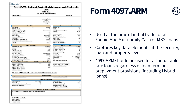|                                                                                                       | Loans                                                         |                                                 |                  |
|-------------------------------------------------------------------------------------------------------|---------------------------------------------------------------|-------------------------------------------------|------------------|
|                                                                                                       | <b>June, 2022</b>                                             |                                                 |                  |
| <lender name=""></lender>                                                                             | © 2022 Fannie Mae. Trademarks of Fannie Mae                   | Trade Date:                                     |                  |
|                                                                                                       |                                                               |                                                 |                  |
|                                                                                                       | <b>Property Name</b><br>Address<br>City, State, Zip<br>County |                                                 |                  |
| <b>Deal Highlights</b>                                                                                |                                                               | <b>Rate &amp; Trade Information</b>             |                  |
| Loan Amount<br>S                                                                                      | 2,600,000                                                     | <b>Purchase Price</b>                           | 101%             |
| Loan Term (months)                                                                                    | 84                                                            | Coupon                                          | 3%               |
| Prepayment Provision (string)                                                                         | $L(24)1\%(57)O(3)$                                            | Guaranty Fee and Servicing Fee                  | 1.500%           |
| Interest-Only Period (months)                                                                         | 12                                                            | Note Rate                                       | 4.120%           |
| Amortization Term (months)                                                                            | 360<br>ARM                                                    |                                                 | 2.000%           |
| Interest Type<br>Benchmark Index                                                                      | 1 Month LIBOR                                                 | Good Faith Deposit<br><b>Delivery Tolerance</b> | $+/-5%$          |
| <b>Interest Accrual Method</b>                                                                        | Actual/360                                                    | <b>Streamlined Early Rate Lock</b>              |                  |
| <b>Lien Position</b>                                                                                  | First                                                         | Product Type                                    | <b>DUS</b>       |
| Settlement Date (Book-Entry Date)                                                                     | 6/10/2022                                                     | Number of Loans                                 |                  |
| # of Days (from Trade Date to Settlement Date                                                         | 10                                                            | % of Initial Pool Balance                       | 100%             |
| <b>Issue Date</b>                                                                                     | 6/1/2022                                                      | Eligible for Re-Securitization                  | Yes              |
|                                                                                                       |                                                               |                                                 |                  |
| <b>Property Information</b>                                                                           |                                                               | <b>Credit &amp; Underwriting</b>                |                  |
| Specific Property Type                                                                                | Multifamily                                                   | <b>UW NCF</b>                                   | \$250,000        |
| # of Units                                                                                            | 72                                                            | Minimum UW NCF DSCR                             | 1.35             |
| Year Built                                                                                            | 2002                                                          | Est. UW NCF DSCR (Actual)                       | 1.45             |
| % Physical Occupancy                                                                                  | 94.30%                                                        | Est. UW NCF DSCR (IO)                           | 1.69             |
| Number of Properties                                                                                  |                                                               | Est. UW NCF DSCR at Cap                         | 1.30             |
| <b>Green Financing Type</b><br><b>Green Building Certification</b>                                    | Green Rewards<br><b>LEED Gold</b>                             | Maximum LTV<br><b>Estimated LTV</b>             | 65.00%<br>65.00% |
| Age Restricted?                                                                                       | No                                                            | U/W Property Value                              | 21,352,564<br>\$ |
| Add rider for additional properties                                                                   |                                                               | Loan Purpose                                    | Acquisition      |
| % Units with Income or Rent Restrictions                                                              | 20.00%                                                        | Tier                                            | Tier 3           |
| Affordable Housing Type                                                                               | LIHTC                                                         | Cross-Default/Collateralization                 |                  |
| <b>Affordability Information</b>                                                                      | <b>Restricted</b><br>Rent Roll*                               |                                                 |                  |
| % of Units <= 50% AMI                                                                                 | 20%<br>20%                                                    | Pre-Existing Additional Debt Balance            |                  |
| % of Units > 50% - 60% AMI                                                                            | 20%                                                           | Additional Debt Current Interest Rate           |                  |
| % of Units > 60% - 80% AMI                                                                            | 20%                                                           | <b>Additional Debt Maturity Date</b>            |                  |
| % of Units > 80% - 100% AMI                                                                           | 40%                                                           |                                                 |                  |
| % of Units > 100% - 120% AMI<br>% of Units > 120% AMI                                                 |                                                               |                                                 |                  |
| *Data based on the MAE Multifamily Affordability Estimator and may differ from final data at Issuance |                                                               |                                                 |                  |
| <b>Total Current Outstanding Loans</b>                                                                | <b>Credit Facilities Only</b>                                 | <b>Total Current Facility Level UPB</b>         |                  |
|                                                                                                       | <b>ARM Loan-Related Fields</b>                                |                                                 |                  |
| <b>ARM Loan Product</b>                                                                               | ARM 7-6 Loan                                                  | Lifetime PTR Cap                                |                  |
| Convertible                                                                                           | Yes                                                           | Per Rate Change Cap                             | $+/- 1\%$        |
| Initial Convertible Lockout Term (months)                                                             | 12                                                            | Standard Look back (days)                       |                  |
| <b>Estimated MBS Margin (bps)</b>                                                                     |                                                               | Rate Reset Frequency (months)                   |                  |
|                                                                                                       |                                                               | <b>Fixed Principal Payment (SARMs)</b>          | N/A              |
|                                                                                                       |                                                               |                                                 |                  |
|                                                                                                       | <b>Additional Disclosures &amp; Comments</b>                  |                                                 |                  |
| For non-standard characteristics, such as future crosses, etc.                                        |                                                               |                                                 |                  |
|                                                                                                       |                                                               |                                                 |                  |
|                                                                                                       |                                                               |                                                 |                  |

5

### **Form 4097.ARM**



- Used at the time of initial trade for all Fannie Mae Multifamily Cash or MBS Loans
- Captures key data elements at the security, loan and property levels
- 4097.ARM should be used for all adjustable rate loans regardless of loan term or prepayment provisions (including Hybrid loans)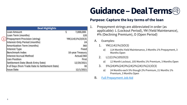### **Guidance –Deal Terms**

#### **Purpose: Capture the key terms of the loan**

- 1. Prepayment strings are abbreviated in order (as applicable): L (Lockout Period), YM (Yield Maintenance), #% (Declining Premium), O (Open Period)
	- A. Examples:
		- 1.  $YM(114)1\%(3)O(3)$ 
			- a) 114 Months Yield Maintenance, 3 Months 1% Prepayment, 3 Months Open
		- 2. L(12)1%(105)O(3)
			- a) 12 Month Lockout, 105 Months 1% Premium, 3 Months Open
		- 3. 5%(24)4%(24)3%(24)2%(24)1%(21)O(3)
			- a) 24 Months each 5% though 2% Premium, 21 Months 1% Premium, 3 Months Open
	- B. [Full Prepayment Job Aid](https://multifamily.fanniemae.com/media/8411/)

| <b>Deal Highlights</b>                         |                      |
|------------------------------------------------|----------------------|
| Loan Amount                                    | \$<br>7,000,000      |
| Loan Term (months)                             | 120                  |
| Prepayment Provision (string)                  | $YM(114)1\%$ (3)O(3) |
| Interest-Only Period (months)                  | 24                   |
| Amortization Term (months)                     | 360                  |
| Interest Type                                  | Fixed                |
| <b>Benchmark Index</b>                         | 10-year Treasury     |
| Interest Accrual Method                        | Actual/360           |
| <b>Lien Position</b>                           | First                |
| Settlement Date (Book-Entry Date)              | 12/20/2021           |
| # of Days (from Trade Date to Settlement Date) | 30                   |
| <b>Issue Date</b>                              |                      |

 $(1$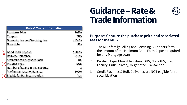|   | <b>Rate &amp; Trade Information</b>   |            |
|---|---------------------------------------|------------|
|   | <b>Purchase Price</b>                 | 102%       |
|   | Coupon                                | TBD        |
|   | <b>Guaranty Fee and Servicing Fee</b> | 1.590%     |
|   | <b>Note Rate</b>                      | TBD        |
|   |                                       |            |
|   | Good Faith Deposit                    | 2.000%     |
|   | <b>Delivery Tolerance</b>             | $+/-5%$    |
|   | <b>Streamlined Early Rate Lock</b>    | No         |
|   | <b>Product Type</b>                   | <b>DUS</b> |
|   | Number of Loans in this Security      |            |
|   | % of Initial Security Balance         | $100\%$    |
| 3 | Eligible for Re-Securitization        | Yes        |

### **Guidance –Rate & Trade Information**



#### **Purpose: Capture the purchase price and associated fees for the MBS**

- 1. The Multifamily Selling and Servicing Guide sets forth the amount of the Minimum Good Faith Deposit required for any Mortgage Loan
- 2. Product Type Allowable Values: DUS, Non-DUS, Credit Facility, Bulk Delivery, Negotiated Transaction
- 3. Credit Facilities & Bulk Deliveries are NOT eligible for resecuritization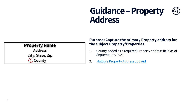### **Guidance –Property Address**

#### **Property Name**

Address City, State, Zip 1 County

#### **Purpose: Capture the primary Property address for the subject Property/Properties**

- 1. County added as a required Property address field as of September 7, 2021
- 2. [Multiple Property Address Job Aid](https://multifamily.fanniemae.com/media/7311)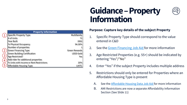### **Guidance –Property Information**



|                | <b>Property Information</b>              |                      |
|----------------|------------------------------------------|----------------------|
|                | <b>Specific Property Type</b>            | Multifamily          |
|                | # of Units                               | 72                   |
|                | Year Built                               | 2002                 |
|                | % Physical Occupancy                     | 94.30%               |
|                | Number of properties                     |                      |
|                | <b>Green Financing Type</b>              | <b>Green Rewards</b> |
|                | <b>Green Building Certification</b>      | <b>LEED Gold</b>     |
| $\overline{3}$ | Age Restricted?                          | Yes                  |
| 4              | Add rider for additional properties      |                      |
|                | % Units with Income or Rent Restrictions | 20%                  |
| 5              | Affordable Housing Type                  |                      |

#### **Purpose: Capture key details of the subject Property**

- 1. Specific Property Type should correspond to the value entered in C&D
- 2. See the [Green Financing Job Aid](https://multifamily.fanniemae.com/media/8566) for more information
- 3. Age Restricted Properties (e.g. 55+) should be indicated by entering "Yes"/"No"
- 4. Enter "Yes" if the subject Property includes multiple address
- 5. Restrictions should only be entered for Properties where an Affordable Housing Type is present
	- A. See the **Affordable Housing Data Job Aid** for more information
	- B. AMI Restrictions are now a separate Affordability Information Section (See Slide 11)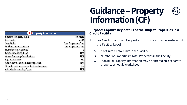### **Guidance –Property Information (CF)**

|--|

| 1 Property Information                   |                    |  |  |
|------------------------------------------|--------------------|--|--|
| Specific Property Type                   | Multiple           |  |  |
| # of Units                               | 2444               |  |  |
| Year Built                               | See Properties Tab |  |  |
| % Physical Occupancy                     | See Properties Tab |  |  |
| Number of properties                     |                    |  |  |
| <b>Green Financing Type</b>              | N/A                |  |  |
| <b>Green Building Certification</b>      | N/A                |  |  |
| Age Restricted?                          | No                 |  |  |
| Add rider for additional properties      | N/A                |  |  |
| % Units with Income or Rent Restrictions | 0%                 |  |  |
| Affordable Housing Type                  | N/A                |  |  |

#### **Purpose: Capture key details of the subject Properties in a Credit Facility**

- 1. For Credit Facilities, Property information can be entered at the Facility Level
	- A. # of Units = Total Units in the Facility
	- B. Number of Properties = Total Properties in the Facility
	- C. Individual Property information may be entered on a separate property schedule worksheet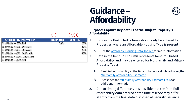### **Guidance – Affordability**



| <b>Affordability Information</b> | <b>Restricted</b> | <b>Rent Roll*</b> |
|----------------------------------|-------------------|-------------------|
| $\%$ of Units <= 50% AMI         | 20%               | 20%               |
| % of Units > 50% - 60% AMI       |                   | 20%               |
| % of Units > 60% - 80% AMI       |                   | 20%               |
| % of Units > 80% - 100% AMI      |                   | 40%               |
| % of Units > 100% - 120% AMI     |                   |                   |
| % of Units > 120% AMI            |                   |                   |

#### **Purpose: Capture key details of the subject Property's Affordability**

- 1. Data in the Restricted column should only be entered for Properties where an Affordable Housing Type is present
	- A. See the [Affordable Housing Data Job Aid f](https://multifamily.fanniemae.com/media/document/pdf/affordable-housing-data-guidance)or more information
- 2. Data in the Rent Roll column represents Rent Roll based Affordability and may be entered for Multifamily and Military Property Types
	- A. Rent Roll Affordability at the time of trade is calculated using the [Multifamily Affordability Estimator](https://multifamily.fanniemae.com/media/document/xlsx/multifamily-affordability-estimator)
	- B. Please see the [Multifamily Affordability Estimate FAQs f](https://multifamily.fanniemae.com/media/8856/display)or additional information
- 3. Due to timing differences, it is possible that the Rent Roll Affordability data entered at the time of trade may differ slightly from the final data disclosed at Security Issuance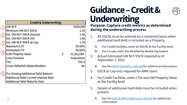#### 1  $\mathcal{L}$  Est. UW NCF DSCR (Actual) 1.45  $(3)$  $\left( 4 \right)$ 5) Pre-Existing Additional Debt Balance UW NCF \$250,000 Minimum UW NCF DSCR 1.35 Est. UW NCF DSCR (IO) 1.69 Est. UW NCF DSCR at Cap 1.30 Maximum LTV 65.00% Estimated LTV 65.00%  $U/W$  Property Value  $$31,352,564$ Loan Purpose **Acquisition** Tier Tier 3 **Cross-Default/Collateralization** No Additional Debt Current Interest Rate **Credit & Underwriting**

### **Guidance –Credit & Underwriting**



#### **Purpose: Capture credit metrics as determined during the underwriting process**

- 1. All DSCRs must be entered on a combined basis when additional hard debt is included on a Property
	- A. For Credit Facilities, enter all DSCRs at the Facility level
	- B. For Co-ops, enter the Multifamily Rental Equivalent
- 2. Actual Estimated UW NCF DSCR required as of September 7, 2021
	- See the [DSCR Guidance Job Aid](https://multifamily.fanniemae.com/media/8551) for additional information
- 3. DSCR at Cap only required for ARM Loans
- 4. For Credit Facilities, enter LTVs and UW Property Value at the Facility level
- 5. Details of additional hard debt must be included when present
	- A. See the [Split & Bifurcated Loan Job Aid](https://multifamily.fanniemae.com/media/7401) for additional information

Additional Debt Maturity Date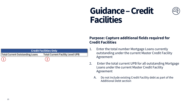### **Guidance –Credit Facilities**



| <b>Credit Facilities Only</b>          |                                         |  |
|----------------------------------------|-----------------------------------------|--|
| <b>Total Current Outstanding Loans</b> | <b>Total Current Facility Level UPB</b> |  |
|                                        |                                         |  |

#### **Purpose: Capture additional fields required for Credit Facilities**

- 1. Enter the total number Mortgage Loans currently outstanding under the current Master Credit Facility Agreement
- 2. Enter the total current UPB for all outstanding Mortgage Loans under the current Master Credit Facility Agreement
	- A. Do not include existing Credit Facility debt as part of the Additional Debt section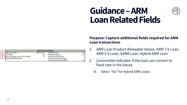### **Guidance –ARM Loan Related Fields**

|                                           | <b>ARM Loan-Related Fields</b> |                                        |           |
|-------------------------------------------|--------------------------------|----------------------------------------|-----------|
| <b>ARM Loan Product</b>                   | ARM 7-6 Loan                   | Lifetime PTR Cap                       | 6%        |
| Convertible                               | Yes                            | Per Rate Change Cap                    | $+/- 1\%$ |
| Initial Convertible Lockout Term (months) |                                | Standard Look back (days)              |           |
| <b>Estimated MBS Margin (bps)</b>         |                                | Rate Reset Frequency (months)          |           |
|                                           |                                | <b>Fixed Principal Payment (SARMs)</b> | N/A       |

#### **Purpose: Capture additional fields required for ARM Loan transactions**

- 1. ARM Loan Product Allowable Values: ARM 7-6 Loan, ARM 5-5 Loan, SARM Loan, Hybrid ARM Loan
- 2. Convertible indicates if the loan can convert to fixed rate in the future
	- A. Select "No" for Hybrid ARM Loans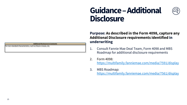### **Guidance –Additional Disclosure**



| <b>Additional Disclosures &amp; Comments</b>                   |  |
|----------------------------------------------------------------|--|
| For non-standard characteristics, such as future crosses, etc. |  |

#### **Purpose: As described in the Form 4098, capture any Additional Disclosure requirements identified in underwriting**

- 1. Consult Fannie Mae Deal Team, Form 4098 and MBS Roadmap for additional disclosure requirements
- 2. Form 4098: <https://multifamily.fanniemae.com/media/7591/display>
- 3. MBS Roadmap: <https://multifamily.fanniemae.com/media/7561/display>